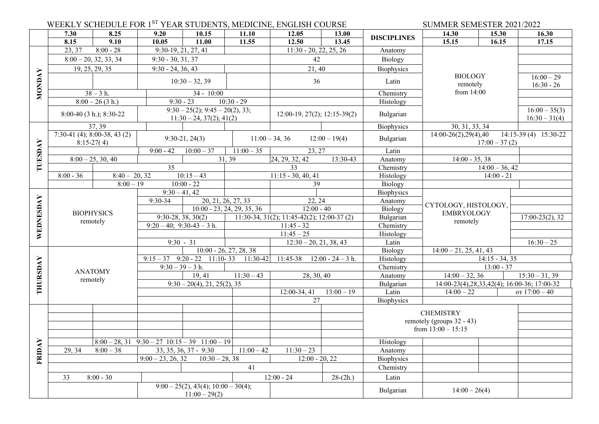|           |                                                | WEEKLY SCHEDULE FOR 1ST YEAR STUDENTS, MEDICINE, ENGLISH COURSE |                                                |                                                                 | SUMMER SEMESTER 2021/2022             |                                             |                          |                            |                                                                    |                              |                                                |
|-----------|------------------------------------------------|-----------------------------------------------------------------|------------------------------------------------|-----------------------------------------------------------------|---------------------------------------|---------------------------------------------|--------------------------|----------------------------|--------------------------------------------------------------------|------------------------------|------------------------------------------------|
|           | 7.30                                           | 8.25                                                            | 9.20                                           | 10.15                                                           | 11.10                                 | 12.05                                       | 13.00                    |                            | 14.30                                                              | 15.30                        | 16.30                                          |
|           | 8.15                                           | 9.10                                                            | 10.05                                          | 11.00                                                           | 11.55                                 | 12.50                                       | 13.45                    | <b>DISCIPLINES</b>         | 15.15                                                              | 16.15                        | 17.15                                          |
|           | 23, 37                                         | $8:00 - 28$                                                     | $9:30-19, 21, 27, 41$                          |                                                                 |                                       |                                             | $11:30 - 20, 22, 25, 26$ | Anatomy                    |                                                                    |                              |                                                |
|           |                                                | $8:00 - 20, 32, 33, 34$                                         |                                                | $9:30 - 30, 31, 37$                                             |                                       |                                             | 42                       | Biology                    |                                                                    |                              |                                                |
|           | 19, 25, 29, 35                                 |                                                                 |                                                | $9:30 - 24, 36, 43$                                             |                                       | 21, 40                                      |                          | Biophysics                 |                                                                    |                              |                                                |
| NONDAY    | $10:30 - 32,39$                                |                                                                 |                                                |                                                                 |                                       | 36                                          | Latin                    | <b>BIOLOGY</b><br>remotely |                                                                    | $16:00 - 29$<br>$16:30 - 26$ |                                                |
|           |                                                | $38 - 3 h.$                                                     | $34 - 10:00$                                   |                                                                 |                                       |                                             |                          | Chemistry                  | from 14:00                                                         |                              |                                                |
|           | $8:00-26(3 h.)$                                |                                                                 |                                                | $10:30 - 29$<br>$9:30 - 23$                                     |                                       |                                             |                          | Histology                  |                                                                    |                              |                                                |
|           | 8:00-40 (3 h.); 8:30-22                        |                                                                 |                                                | $9:30 - 25(2); 9:45 - 20(2), 33;$<br>$11:30 - 24, 37(2), 41(2)$ |                                       | $12:00-19, 27(2); 12:15-39(2)$              |                          | Bulgarian                  |                                                                    |                              | $16:00 - 35(3)$<br>$16:30 - 31(4)$             |
|           |                                                | 37, 39                                                          |                                                |                                                                 |                                       |                                             |                          | Biophysics                 | 30, 31, 33, 34                                                     |                              |                                                |
|           |                                                | $7:30-41$ (4); 8:00-38, 43 (2)<br>$8:15-27(4)$                  |                                                | $9:30-21, 24(3)$                                                |                                       | $11:00 - 34, 36$                            | $12:00 - 19(4)$          | Bulgarian                  | $14:00-26(2),29(4),40$<br>14:15-39 (4) 15:30-22<br>$17:00 - 37(2)$ |                              |                                                |
| TUESDAY   |                                                |                                                                 | $9:00 - 42$                                    | $10:00 - 37$                                                    | $11:00 - 35$                          |                                             | 23, 27                   | Latin                      |                                                                    |                              |                                                |
|           |                                                | $8:00-25, 30, 40$                                               |                                                |                                                                 | $\overline{31,39}$                    | 24, 29, 32, 42                              | 13:30-43                 | Anatomy                    | $14:00 - 35, 38$                                                   |                              |                                                |
|           |                                                |                                                                 | $\overline{35}$                                |                                                                 |                                       | 33                                          |                          | Chemistry                  | $14:00 - 36, 42$                                                   |                              |                                                |
|           | $8:00 - 36$                                    | $8:40 - 20, 32$                                                 |                                                | $10:15-43$                                                      |                                       | $11:15 - 30, 40, 41$                        |                          | Histology                  | $14:00 - 21$                                                       |                              |                                                |
|           |                                                | $8:00 - 19$                                                     |                                                | $10:00 - 22$                                                    |                                       |                                             | 39                       | Biology                    |                                                                    |                              |                                                |
|           | <b>BIOPHYSICS</b><br>remotely                  |                                                                 | $9:30 - 41, 42$                                |                                                                 |                                       |                                             |                          | Biophysics                 |                                                                    |                              |                                                |
|           |                                                |                                                                 | 9:30-34                                        |                                                                 | 20, 21, 26, 27, 33                    | 22, 24                                      |                          | Anatomy                    | CYTOLOGY, HISTOLOGY,                                               |                              |                                                |
|           |                                                |                                                                 |                                                |                                                                 | $10:00 - 23, 24, 29, 35, 36$          |                                             | $12:00 - 40$             | Biology                    | <b>EMBRYOLOGY</b><br>remotely                                      |                              |                                                |
| WEDNESDAY |                                                |                                                                 | $9:30-28, 38, 30(2)$                           |                                                                 |                                       | $11:30-34, 31(2); 11:45-42(2); 12:00-37(2)$ |                          | Bulgarian                  |                                                                    | $17:00-23(2), 32$            |                                                |
|           |                                                |                                                                 |                                                | $9:20-40$ ; $9:30-43-3$ h.                                      |                                       | $11:45 - 32$                                |                          | Chemistry                  |                                                                    |                              |                                                |
|           |                                                |                                                                 |                                                |                                                                 |                                       | $11:45 - 25$                                |                          | Histology                  |                                                                    |                              |                                                |
|           |                                                |                                                                 | $9:30 - 31$                                    |                                                                 | $10:00 - 26, 27, 28, 38$              |                                             | $12:30 - 20, 21, 38, 43$ | Latin                      |                                                                    |                              | $16:30 - 25$                                   |
|           |                                                |                                                                 |                                                |                                                                 | $9:15-37$ $9:20-22$ 11:10-33 11:30-42 | 11:45-38                                    | $12:00 - 24 - 3 h.$      | Biology<br>Histology       | $14:00 - 21, 25, 41, 43$                                           | $14:15 - 34, 35$             |                                                |
|           |                                                |                                                                 | $9:30 - 39 - 3 h.$                             |                                                                 |                                       |                                             |                          | Chemistry                  |                                                                    | $13:00 - 37$                 |                                                |
|           |                                                | <b>ANATOMY</b><br>remotely                                      |                                                | 19, 41                                                          | $11:30-43$                            |                                             | 28, 30, 40               | Anatomy                    | $14:00 - 32, 36$                                                   |                              | $15:30 - 31,39$                                |
| THURSDAY  |                                                |                                                                 |                                                | $9:30 - 20(4), 21, 25(2), 35$                                   |                                       |                                             |                          | Bulgarian                  |                                                                    |                              | 14:00-23(4), 28, 33, 42(4); 16:00-36; 17:00-32 |
|           |                                                |                                                                 |                                                |                                                                 |                                       | 12:00-34, 41                                | $13:00 - 19$             | Latin                      | $14:00 - 22$                                                       |                              | от $17:00 - 40$                                |
|           |                                                |                                                                 |                                                |                                                                 |                                       | 27                                          |                          | <b>Biophysics</b>          |                                                                    |                              |                                                |
| FRIDAY    |                                                |                                                                 |                                                |                                                                 |                                       |                                             |                          |                            |                                                                    |                              |                                                |
|           |                                                |                                                                 |                                                |                                                                 |                                       |                                             |                          |                            | <b>CHEMISTRY</b>                                                   |                              |                                                |
|           |                                                |                                                                 |                                                |                                                                 |                                       |                                             |                          |                            | remotely (groups 32 - 43)                                          |                              |                                                |
|           |                                                |                                                                 |                                                |                                                                 |                                       |                                             |                          |                            | from $13:00 - 15:15$                                               |                              |                                                |
|           |                                                |                                                                 | $8:00-28$ , 31 $9:30-27$ $10:15-39$ $11:00-19$ |                                                                 |                                       |                                             |                          | Histology                  |                                                                    |                              |                                                |
|           | $8:00 - 38$<br>33, 35, 36, 37 - 9:30<br>29, 34 |                                                                 | $11:00 - 42$                                   | $11:30 - 23$                                                    |                                       | Anatomy                                     |                          |                            |                                                                    |                              |                                                |
|           | $10:30 - 28,38$<br>$9:00 - 23, 26, 32$         |                                                                 |                                                |                                                                 | $12:00 - 20, 22$                      | <b>Biophysics</b>                           |                          |                            |                                                                    |                              |                                                |
|           |                                                |                                                                 |                                                |                                                                 | 41                                    |                                             |                          | Chemistry                  |                                                                    |                              |                                                |
|           | 33                                             | $8:00 - 30$                                                     |                                                |                                                                 |                                       | $12:00 - 24$                                | $28-(2h.)$               | Latin                      |                                                                    |                              |                                                |
|           |                                                |                                                                 |                                                | $9:00-25(2), 43(4); 10:00-30(4);$<br>$11:00 - 29(2)$            |                                       |                                             |                          | Bulgarian                  | $14:00 - 26(4)$                                                    |                              |                                                |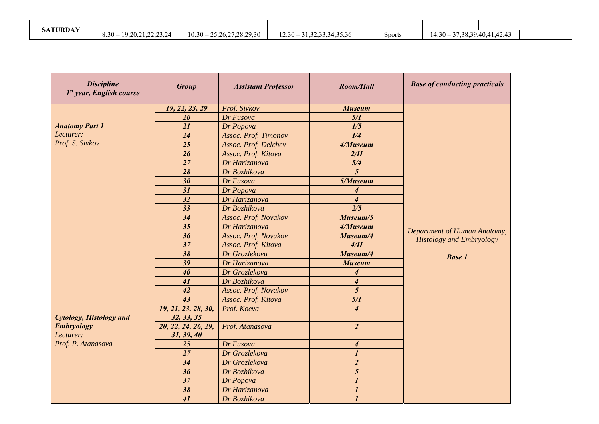| <b>SATURDAY</b> |                                   |                                  |                                    |               |                                           |  |
|-----------------|-----------------------------------|----------------------------------|------------------------------------|---------------|-------------------------------------------|--|
|                 | 19, 20, 21, 22, 23, 24<br>$8:30-$ | $-25,26,27,28,29,30$<br>$10:30-$ | 31, 32, 33, 34, 35, 36<br>$12:30-$ | <b>Sports</b> | 37, 38, 39, 40, 41, 42, 43<br>$14:30 - 7$ |  |

| <b>Discipline</b><br>1st year, English course | <b>Group</b>                      | <b>Assistant Professor</b> | <b>Room/Hall</b>            | <b>Base of conducting practicals</b>                            |
|-----------------------------------------------|-----------------------------------|----------------------------|-----------------------------|-----------------------------------------------------------------|
|                                               | 19, 22, 23, 29                    | Prof. Sivkov               | <b>Museum</b>               |                                                                 |
|                                               | 20                                | Dr Fusova                  | 5/1                         |                                                                 |
| <b>Anatomy Part 1</b>                         | 21                                | Dr Popova                  | 1/5                         |                                                                 |
| Lecturer:                                     | 24                                | Assoc. Prof. Timonov       | I/4                         |                                                                 |
| Prof. S. Sivkov                               | 25                                | Assoc. Prof. Delchev       | 4/Museum                    |                                                                 |
|                                               | 26                                | Assoc. Prof. Kitova        | 2/II                        |                                                                 |
|                                               | 27                                | Dr Harizanova              | 5/4                         |                                                                 |
|                                               | 28                                | Dr Bozhikova               | $\overline{5}$              |                                                                 |
|                                               | 30                                | Dr Fusova                  | 5/Museum                    |                                                                 |
|                                               | 31                                | Dr Popova                  | 4                           |                                                                 |
|                                               | 32                                | Dr Harizanova              | $\overline{\boldsymbol{4}}$ |                                                                 |
|                                               | $\overline{33}$                   | Dr Bozhikova               | $\overline{2/5}$            |                                                                 |
|                                               | 34                                | Assoc. Prof. Novakov       | Museum/5                    |                                                                 |
|                                               | 35                                | Dr Harizanova              | 4/Museum                    |                                                                 |
|                                               | 36                                | Assoc. Prof. Novakov       | Museum/4                    | Department of Human Anatomy,<br><b>Histology and Embryology</b> |
|                                               | $\overline{37}$                   | Assoc. Prof. Kitova        | 4/II                        |                                                                 |
|                                               | 38                                | Dr Grozlekova              | Museum/4                    | <b>Base 1</b>                                                   |
|                                               | 39                                | Dr Harizanova              | <b>Museum</b>               |                                                                 |
|                                               | 40                                | Dr Grozlekova              | 4                           |                                                                 |
|                                               | 41                                | Dr Bozhikova               | $\overline{\mathcal{A}}$    |                                                                 |
|                                               | 42                                | Assoc. Prof. Novakov       | $\overline{5}$              |                                                                 |
|                                               | 43                                | Assoc. Prof. Kitova        | 5/1                         |                                                                 |
| <b>Cytology, Histology and</b>                | 19, 21, 23, 28, 30,<br>32, 33, 35 | Prof. Koeva                | $\overline{4}$              |                                                                 |
| <b>Embryology</b><br>Lecturer:                | 20, 22, 24, 26, 29,<br>31, 39, 40 | Prof. Atanasova            | $\overline{2}$              |                                                                 |
| Prof. P. Atanasova                            | 25                                | Dr Fusova                  | 4                           |                                                                 |
|                                               | 27                                | Dr Grozlekova              | $\boldsymbol{l}$            |                                                                 |
|                                               | 34                                | Dr Grozlekova              | $\boldsymbol{2}$            |                                                                 |
|                                               | 36                                | Dr Bozhikova               | 5                           |                                                                 |
|                                               | $\overline{37}$                   | Dr Popova                  | $\boldsymbol{l}$            |                                                                 |
|                                               | 38                                | Dr Harizanova              | $\boldsymbol{l}$            |                                                                 |
|                                               | 41                                | Dr Bozhikova               | $\mathbf{I}$                |                                                                 |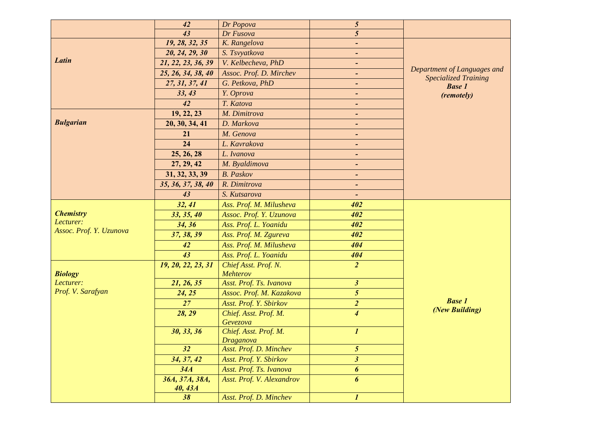| 43<br>Dr Fusova<br>19, 28, 32, 35<br>K. Rangelova<br>20, 24, 29, 30<br>S. Tsvyatkova<br>$\blacksquare$<br>Latin<br>V. Kelbecheva, PhD<br>21, 22, 23, 36, 39<br>$\blacksquare$<br>Department of Languages and<br>Assoc. Prof. D. Mirchev<br>25, 26, 34, 38, 40<br>-<br><b>Specialized Training</b><br>27, 31, 37, 41<br>G. Petkova, PhD<br>-<br><b>Base 1</b><br>33, 43<br>Y. Oprova<br>Ξ.<br>(remotely)<br>42<br>T. Katova<br>$\blacksquare$<br>M. Dimitrova<br>19, 22, 23<br>$\blacksquare$<br><b>Bulgarian</b><br>D. Markova<br>20, 30, 34, 41<br>M. Genova<br>21<br>۰<br>24<br>L. Kavrakova<br>25, 26, 28<br>L. Ivanova<br>27, 29, 42<br>M. Byaldimova<br>$\blacksquare$<br><b>B.</b> Paskov<br>31, 32, 33, 39<br>$\blacksquare$<br>35, 36, 37, 38, 40<br>R. Dimitrova<br>43<br>S. Kutsarova<br>32, 41<br>402<br>Ass. Prof. M. Milusheva<br><b>Chemistry</b><br>33, 35, 40<br>Assoc. Prof. Y. Uzunova<br>402<br>Lecturer:<br>34, 36<br>Ass. Prof. L. Yoanidu<br>402<br>Assoc. Prof. Y. Uzunova<br>37, 38, 39<br>Ass. Prof. M. Zgureva<br>402<br>Ass. Prof. M. Milusheva<br>404<br>42<br>43<br>Ass. Prof. L. Yoanidu<br>404<br>Chief Asst. Prof. N.<br>$\overline{2}$<br>19, 20, 22, 23, 31<br><b>Biology</b><br>Mehterov<br>Asst. Prof. Ts. Ivanova<br>$\mathfrak{z}$<br>Lecturer:<br>21, 26, 35<br>Prof. V. Sarafyan<br>$\mathfrak{s}$<br>24, 25<br>Assoc. Prof. M. Kazakova<br><b>Base 1</b><br>Asst. Prof. Y. Sbirkov<br>$\overline{2}$<br>27<br>(New Building)<br>28, 29<br>$\overline{\mathcal{A}}$<br>Chief. Asst. Prof. M.<br>Gevezova | 42 | Dr Popova | $5\overline{)}$ |  |
|--------------------------------------------------------------------------------------------------------------------------------------------------------------------------------------------------------------------------------------------------------------------------------------------------------------------------------------------------------------------------------------------------------------------------------------------------------------------------------------------------------------------------------------------------------------------------------------------------------------------------------------------------------------------------------------------------------------------------------------------------------------------------------------------------------------------------------------------------------------------------------------------------------------------------------------------------------------------------------------------------------------------------------------------------------------------------------------------------------------------------------------------------------------------------------------------------------------------------------------------------------------------------------------------------------------------------------------------------------------------------------------------------------------------------------------------------------------------------------------------------------------------------------------------------|----|-----------|-----------------|--|
|                                                                                                                                                                                                                                                                                                                                                                                                                                                                                                                                                                                                                                                                                                                                                                                                                                                                                                                                                                                                                                                                                                                                                                                                                                                                                                                                                                                                                                                                                                                                                  |    |           | 5               |  |
|                                                                                                                                                                                                                                                                                                                                                                                                                                                                                                                                                                                                                                                                                                                                                                                                                                                                                                                                                                                                                                                                                                                                                                                                                                                                                                                                                                                                                                                                                                                                                  |    |           |                 |  |
|                                                                                                                                                                                                                                                                                                                                                                                                                                                                                                                                                                                                                                                                                                                                                                                                                                                                                                                                                                                                                                                                                                                                                                                                                                                                                                                                                                                                                                                                                                                                                  |    |           |                 |  |
|                                                                                                                                                                                                                                                                                                                                                                                                                                                                                                                                                                                                                                                                                                                                                                                                                                                                                                                                                                                                                                                                                                                                                                                                                                                                                                                                                                                                                                                                                                                                                  |    |           |                 |  |
|                                                                                                                                                                                                                                                                                                                                                                                                                                                                                                                                                                                                                                                                                                                                                                                                                                                                                                                                                                                                                                                                                                                                                                                                                                                                                                                                                                                                                                                                                                                                                  |    |           |                 |  |
|                                                                                                                                                                                                                                                                                                                                                                                                                                                                                                                                                                                                                                                                                                                                                                                                                                                                                                                                                                                                                                                                                                                                                                                                                                                                                                                                                                                                                                                                                                                                                  |    |           |                 |  |
|                                                                                                                                                                                                                                                                                                                                                                                                                                                                                                                                                                                                                                                                                                                                                                                                                                                                                                                                                                                                                                                                                                                                                                                                                                                                                                                                                                                                                                                                                                                                                  |    |           |                 |  |
|                                                                                                                                                                                                                                                                                                                                                                                                                                                                                                                                                                                                                                                                                                                                                                                                                                                                                                                                                                                                                                                                                                                                                                                                                                                                                                                                                                                                                                                                                                                                                  |    |           |                 |  |
|                                                                                                                                                                                                                                                                                                                                                                                                                                                                                                                                                                                                                                                                                                                                                                                                                                                                                                                                                                                                                                                                                                                                                                                                                                                                                                                                                                                                                                                                                                                                                  |    |           |                 |  |
|                                                                                                                                                                                                                                                                                                                                                                                                                                                                                                                                                                                                                                                                                                                                                                                                                                                                                                                                                                                                                                                                                                                                                                                                                                                                                                                                                                                                                                                                                                                                                  |    |           |                 |  |
|                                                                                                                                                                                                                                                                                                                                                                                                                                                                                                                                                                                                                                                                                                                                                                                                                                                                                                                                                                                                                                                                                                                                                                                                                                                                                                                                                                                                                                                                                                                                                  |    |           |                 |  |
|                                                                                                                                                                                                                                                                                                                                                                                                                                                                                                                                                                                                                                                                                                                                                                                                                                                                                                                                                                                                                                                                                                                                                                                                                                                                                                                                                                                                                                                                                                                                                  |    |           |                 |  |
|                                                                                                                                                                                                                                                                                                                                                                                                                                                                                                                                                                                                                                                                                                                                                                                                                                                                                                                                                                                                                                                                                                                                                                                                                                                                                                                                                                                                                                                                                                                                                  |    |           |                 |  |
|                                                                                                                                                                                                                                                                                                                                                                                                                                                                                                                                                                                                                                                                                                                                                                                                                                                                                                                                                                                                                                                                                                                                                                                                                                                                                                                                                                                                                                                                                                                                                  |    |           |                 |  |
|                                                                                                                                                                                                                                                                                                                                                                                                                                                                                                                                                                                                                                                                                                                                                                                                                                                                                                                                                                                                                                                                                                                                                                                                                                                                                                                                                                                                                                                                                                                                                  |    |           |                 |  |
|                                                                                                                                                                                                                                                                                                                                                                                                                                                                                                                                                                                                                                                                                                                                                                                                                                                                                                                                                                                                                                                                                                                                                                                                                                                                                                                                                                                                                                                                                                                                                  |    |           |                 |  |
|                                                                                                                                                                                                                                                                                                                                                                                                                                                                                                                                                                                                                                                                                                                                                                                                                                                                                                                                                                                                                                                                                                                                                                                                                                                                                                                                                                                                                                                                                                                                                  |    |           |                 |  |
|                                                                                                                                                                                                                                                                                                                                                                                                                                                                                                                                                                                                                                                                                                                                                                                                                                                                                                                                                                                                                                                                                                                                                                                                                                                                                                                                                                                                                                                                                                                                                  |    |           |                 |  |
|                                                                                                                                                                                                                                                                                                                                                                                                                                                                                                                                                                                                                                                                                                                                                                                                                                                                                                                                                                                                                                                                                                                                                                                                                                                                                                                                                                                                                                                                                                                                                  |    |           |                 |  |
|                                                                                                                                                                                                                                                                                                                                                                                                                                                                                                                                                                                                                                                                                                                                                                                                                                                                                                                                                                                                                                                                                                                                                                                                                                                                                                                                                                                                                                                                                                                                                  |    |           |                 |  |
|                                                                                                                                                                                                                                                                                                                                                                                                                                                                                                                                                                                                                                                                                                                                                                                                                                                                                                                                                                                                                                                                                                                                                                                                                                                                                                                                                                                                                                                                                                                                                  |    |           |                 |  |
|                                                                                                                                                                                                                                                                                                                                                                                                                                                                                                                                                                                                                                                                                                                                                                                                                                                                                                                                                                                                                                                                                                                                                                                                                                                                                                                                                                                                                                                                                                                                                  |    |           |                 |  |
|                                                                                                                                                                                                                                                                                                                                                                                                                                                                                                                                                                                                                                                                                                                                                                                                                                                                                                                                                                                                                                                                                                                                                                                                                                                                                                                                                                                                                                                                                                                                                  |    |           |                 |  |
|                                                                                                                                                                                                                                                                                                                                                                                                                                                                                                                                                                                                                                                                                                                                                                                                                                                                                                                                                                                                                                                                                                                                                                                                                                                                                                                                                                                                                                                                                                                                                  |    |           |                 |  |
|                                                                                                                                                                                                                                                                                                                                                                                                                                                                                                                                                                                                                                                                                                                                                                                                                                                                                                                                                                                                                                                                                                                                                                                                                                                                                                                                                                                                                                                                                                                                                  |    |           |                 |  |
|                                                                                                                                                                                                                                                                                                                                                                                                                                                                                                                                                                                                                                                                                                                                                                                                                                                                                                                                                                                                                                                                                                                                                                                                                                                                                                                                                                                                                                                                                                                                                  |    |           |                 |  |
|                                                                                                                                                                                                                                                                                                                                                                                                                                                                                                                                                                                                                                                                                                                                                                                                                                                                                                                                                                                                                                                                                                                                                                                                                                                                                                                                                                                                                                                                                                                                                  |    |           |                 |  |
|                                                                                                                                                                                                                                                                                                                                                                                                                                                                                                                                                                                                                                                                                                                                                                                                                                                                                                                                                                                                                                                                                                                                                                                                                                                                                                                                                                                                                                                                                                                                                  |    |           |                 |  |
|                                                                                                                                                                                                                                                                                                                                                                                                                                                                                                                                                                                                                                                                                                                                                                                                                                                                                                                                                                                                                                                                                                                                                                                                                                                                                                                                                                                                                                                                                                                                                  |    |           |                 |  |
|                                                                                                                                                                                                                                                                                                                                                                                                                                                                                                                                                                                                                                                                                                                                                                                                                                                                                                                                                                                                                                                                                                                                                                                                                                                                                                                                                                                                                                                                                                                                                  |    |           |                 |  |
| 30, 33, 36<br>Chief. Asst. Prof. M.<br>$\boldsymbol{l}$                                                                                                                                                                                                                                                                                                                                                                                                                                                                                                                                                                                                                                                                                                                                                                                                                                                                                                                                                                                                                                                                                                                                                                                                                                                                                                                                                                                                                                                                                          |    |           |                 |  |
| <b>Draganova</b><br>$\mathfrak{H}$<br>32<br>Asst. Prof. D. Minchev                                                                                                                                                                                                                                                                                                                                                                                                                                                                                                                                                                                                                                                                                                                                                                                                                                                                                                                                                                                                                                                                                                                                                                                                                                                                                                                                                                                                                                                                               |    |           |                 |  |
| $\overline{\mathbf{3}}$<br>34, 37, 42<br>Asst. Prof. Y. Sbirkov                                                                                                                                                                                                                                                                                                                                                                                                                                                                                                                                                                                                                                                                                                                                                                                                                                                                                                                                                                                                                                                                                                                                                                                                                                                                                                                                                                                                                                                                                  |    |           |                 |  |
| 34A<br>Asst. Prof. Ts. Ivanova<br>$\boldsymbol{6}$                                                                                                                                                                                                                                                                                                                                                                                                                                                                                                                                                                                                                                                                                                                                                                                                                                                                                                                                                                                                                                                                                                                                                                                                                                                                                                                                                                                                                                                                                               |    |           |                 |  |
| 36A, 37A, 38A,<br>Asst. Prof. V. Alexandrov<br>6                                                                                                                                                                                                                                                                                                                                                                                                                                                                                                                                                                                                                                                                                                                                                                                                                                                                                                                                                                                                                                                                                                                                                                                                                                                                                                                                                                                                                                                                                                 |    |           |                 |  |
| <b>40, 43A</b>                                                                                                                                                                                                                                                                                                                                                                                                                                                                                                                                                                                                                                                                                                                                                                                                                                                                                                                                                                                                                                                                                                                                                                                                                                                                                                                                                                                                                                                                                                                                   |    |           |                 |  |
| Asst. Prof. D. Minchev<br>38<br>$\boldsymbol{l}$                                                                                                                                                                                                                                                                                                                                                                                                                                                                                                                                                                                                                                                                                                                                                                                                                                                                                                                                                                                                                                                                                                                                                                                                                                                                                                                                                                                                                                                                                                 |    |           |                 |  |